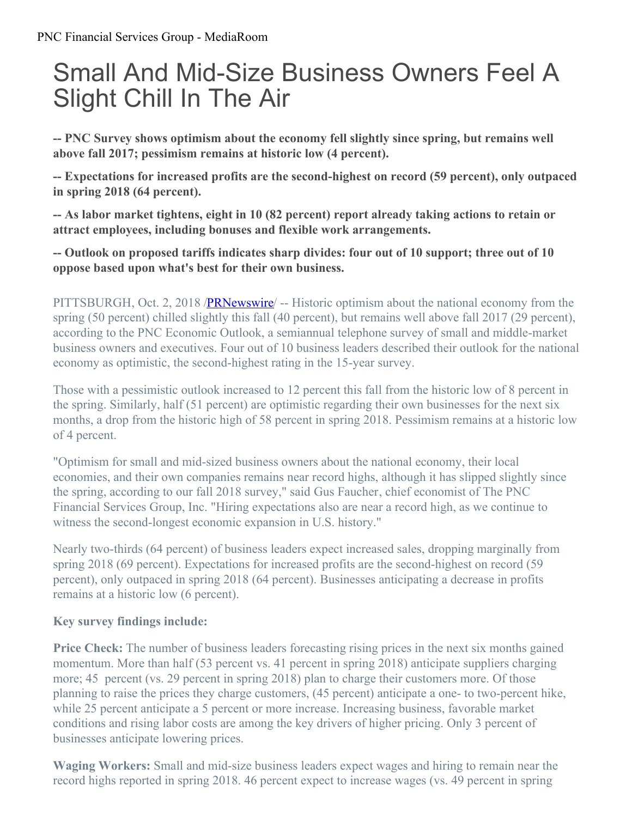## Small And Mid-Size Business Owners Feel A Slight Chill In The Air

**-- PNC Survey shows optimism about the economy fell slightly since spring, but remains well above fall 2017; pessimism remains at historic low (4 percent).**

**-- Expectations for increased profits are the second-highest on record (59 percent), only outpaced in spring 2018 (64 percent).**

**-- As labor market tightens, eight in 10 (82 percent) report already taking actions to retain or attract employees, including bonuses and flexible work arrangements.**

**-- Outlook on proposed tariffs indicates sharp divides: four out of 10 support; three out of 10 oppose based upon what's best for their own business.**

PITTSBURGH, Oct. 2, 2018 [/PRNewswire](http://www.prnewswire.com/)/ -- Historic optimism about the national economy from the spring (50 percent) chilled slightly this fall (40 percent), but remains well above fall 2017 (29 percent), according to the PNC Economic Outlook, a semiannual telephone survey of small and middle-market business owners and executives. Four out of 10 business leaders described their outlook for the national economy as optimistic, the second-highest rating in the 15-year survey.

Those with a pessimistic outlook increased to 12 percent this fall from the historic low of 8 percent in the spring. Similarly, half (51 percent) are optimistic regarding their own businesses for the next six months, a drop from the historic high of 58 percent in spring 2018. Pessimism remains at a historic low of 4 percent.

"Optimism for small and mid-sized business owners about the national economy, their local economies, and their own companies remains near record highs, although it has slipped slightly since the spring, according to our fall 2018 survey," said Gus Faucher, chief economist of The PNC Financial Services Group, Inc. "Hiring expectations also are near a record high, as we continue to witness the second-longest economic expansion in U.S. history."

Nearly two-thirds (64 percent) of business leaders expect increased sales, dropping marginally from spring 2018 (69 percent). Expectations for increased profits are the second-highest on record (59 percent), only outpaced in spring 2018 (64 percent). Businesses anticipating a decrease in profits remains at a historic low (6 percent).

## **Key survey findings include:**

**Price Check:** The number of business leaders forecasting rising prices in the next six months gained momentum. More than half (53 percent vs. 41 percent in spring 2018) anticipate suppliers charging more; 45 percent (vs. 29 percent in spring 2018) plan to charge their customers more. Of those planning to raise the prices they charge customers, (45 percent) anticipate a one- to two-percent hike, while 25 percent anticipate a 5 percent or more increase. Increasing business, favorable market conditions and rising labor costs are among the key drivers of higher pricing. Only 3 percent of businesses anticipate lowering prices.

**Waging Workers:** Small and mid-size business leaders expect wages and hiring to remain near the record highs reported in spring 2018. 46 percent expect to increase wages (vs. 49 percent in spring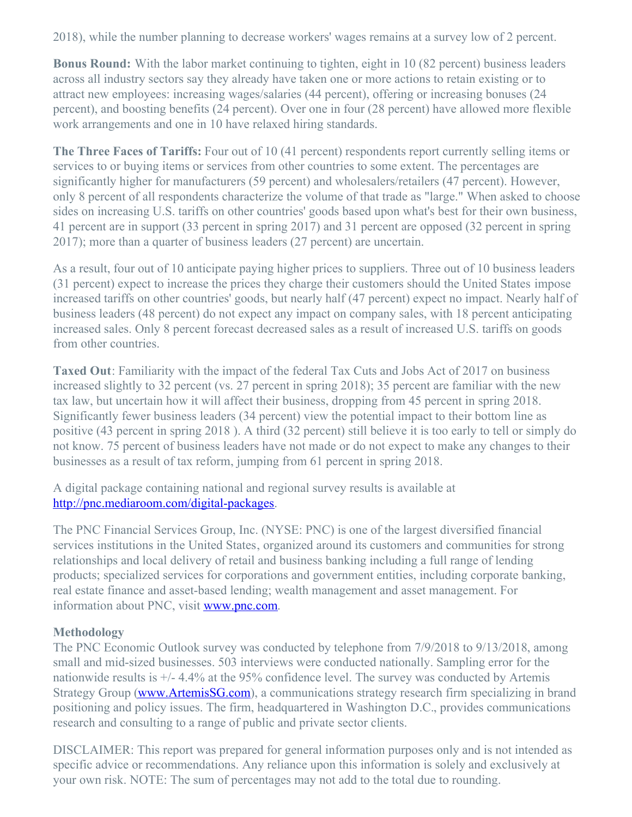2018), while the number planning to decrease workers' wages remains at a survey low of 2 percent.

**Bonus Round:** With the labor market continuing to tighten, eight in 10 (82 percent) business leaders across all industry sectors say they already have taken one or more actions to retain existing or to attract new employees: increasing wages/salaries (44 percent), offering or increasing bonuses (24 percent), and boosting benefits (24 percent). Over one in four (28 percent) have allowed more flexible work arrangements and one in 10 have relaxed hiring standards.

**The Three Faces of Tariffs:** Four out of 10 (41 percent) respondents report currently selling items or services to or buying items or services from other countries to some extent. The percentages are significantly higher for manufacturers (59 percent) and wholesalers/retailers (47 percent). However, only 8 percent of all respondents characterize the volume of that trade as "large." When asked to choose sides on increasing U.S. tariffs on other countries' goods based upon what's best for their own business, 41 percent are in support (33 percent in spring 2017) and 31 percent are opposed (32 percent in spring 2017); more than a quarter of business leaders (27 percent) are uncertain.

As a result, four out of 10 anticipate paying higher prices to suppliers. Three out of 10 business leaders (31 percent) expect to increase the prices they charge their customers should the United States impose increased tariffs on other countries' goods, but nearly half (47 percent) expect no impact. Nearly half of business leaders (48 percent) do not expect any impact on company sales, with 18 percent anticipating increased sales. Only 8 percent forecast decreased sales as a result of increased U.S. tariffs on goods from other countries.

**Taxed Out**: Familiarity with the impact of the federal Tax Cuts and Jobs Act of 2017 on business increased slightly to 32 percent (vs. 27 percent in spring 2018); 35 percent are familiar with the new tax law, but uncertain how it will affect their business, dropping from 45 percent in spring 2018. Significantly fewer business leaders (34 percent) view the potential impact to their bottom line as positive (43 percent in spring 2018 ). A third (32 percent) still believe it is too early to tell or simply do not know. 75 percent of business leaders have not made or do not expect to make any changes to their businesses as a result of tax reform, jumping from 61 percent in spring 2018.

A digital package containing national and regional survey results is available at <http://pnc.mediaroom.com/digital-packages>.

The PNC Financial Services Group, Inc. (NYSE: PNC) is one of the largest diversified financial services institutions in the United States, organized around its customers and communities for strong relationships and local delivery of retail and business banking including a full range of lending products; specialized services for corporations and government entities, including corporate banking, real estate finance and asset-based lending; wealth management and asset management. For information about PNC, visit **[www.pnc.com](http://www.pnc.com/)**.

## **Methodology**

The PNC Economic Outlook survey was conducted by telephone from 7/9/2018 to 9/13/2018, among small and mid-sized businesses. 503 interviews were conducted nationally. Sampling error for the nationwide results is +/- 4.4% at the 95% confidence level. The survey was conducted by Artemis Strategy Group [\(www.ArtemisSG.com](http://www.artemissg.com/)), a communications strategy research firm specializing in brand positioning and policy issues. The firm, headquartered in Washington D.C., provides communications research and consulting to a range of public and private sector clients.

DISCLAIMER: This report was prepared for general information purposes only and is not intended as specific advice or recommendations. Any reliance upon this information is solely and exclusively at your own risk. NOTE: The sum of percentages may not add to the total due to rounding.